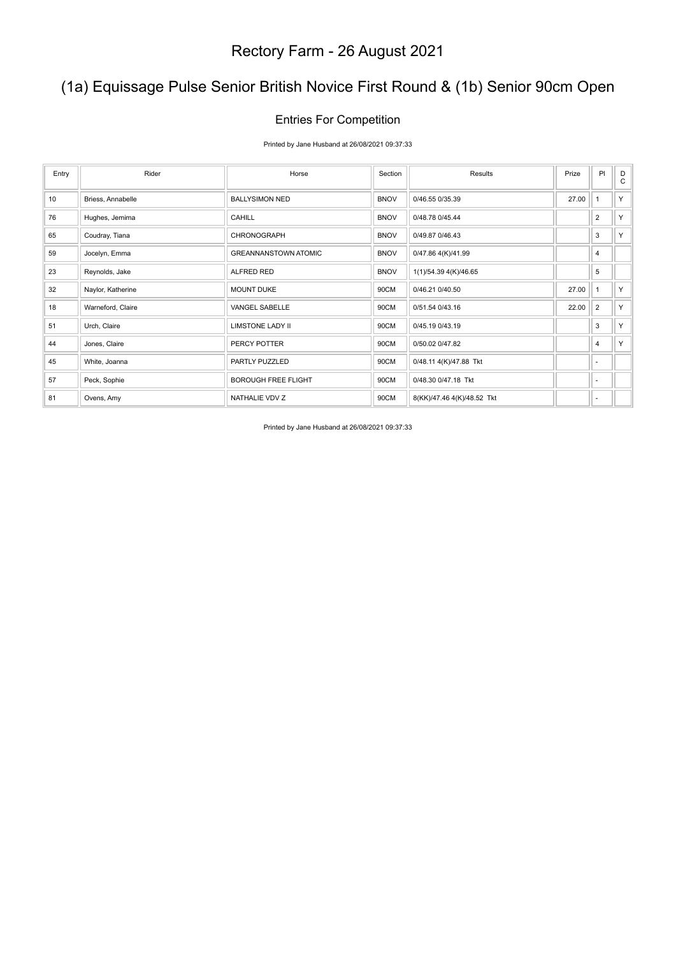### (1a) Equissage Pulse Senior British Novice First Round & (1b) Senior 90cm Open

#### Entries For Competition

Printed by Jane Husband at 26/08/2021 09:37:33

| Entry | Rider             | Horse                       | Section     | Results                    | Prize | PI             | D<br>$\mathbf{C}$ |
|-------|-------------------|-----------------------------|-------------|----------------------------|-------|----------------|-------------------|
| 10    | Briess, Annabelle | <b>BALLYSIMON NED</b>       | <b>BNOV</b> | 0/46.55 0/35.39            | 27.00 | $\overline{1}$ | Y.                |
| 76    | Hughes, Jemima    | <b>CAHILL</b>               | <b>BNOV</b> | 0/48.78 0/45.44            |       | $\overline{2}$ | Y.                |
| 65    | Coudray, Tiana    | CHRONOGRAPH                 | <b>BNOV</b> | 0/49.87 0/46.43            |       | 3              | Y.                |
| 59    | Jocelyn, Emma     | <b>GREANNANSTOWN ATOMIC</b> | <b>BNOV</b> | 0/47.86 4(K)/41.99         |       | 4              |                   |
| 23    | Reynolds, Jake    | ALFRED RED                  | <b>BNOV</b> | 1(1)/54.39 4(K)/46.65      |       | 5              |                   |
| 32    | Naylor, Katherine | <b>MOUNT DUKE</b>           | 90CM        | 0/46.21 0/40.50            | 27.00 | $\overline{1}$ | Y.                |
| 18    | Warneford, Claire | VANGEL SABELLE              | 90CM        | 0/51.54 0/43.16            | 22.00 | $\overline{2}$ | Y                 |
| 51    | Urch, Claire      | <b>LIMSTONE LADY II</b>     | 90CM        | 0/45.19 0/43.19            |       | 3              | Y.                |
| 44    | Jones, Claire     | PERCY POTTER                | 90CM        | 0/50.02 0/47.82            |       | 4              | Y.                |
| 45    | White, Joanna     | PARTLY PUZZLED              | 90CM        | 0/48.11 4(K)/47.88 Tkt     |       | ٠              |                   |
| 57    | Peck, Sophie      | <b>BOROUGH FREE FLIGHT</b>  | 90CM        | 0/48.30 0/47.18 Tkt        |       | ٠              |                   |
| 81    | Ovens, Amy        | NATHALIE VDV Z              | 90CM        | 8(KK)/47.46 4(K)/48.52 Tkt |       | ٠              |                   |

Printed by Jane Husband at 26/08/2021 09:37:33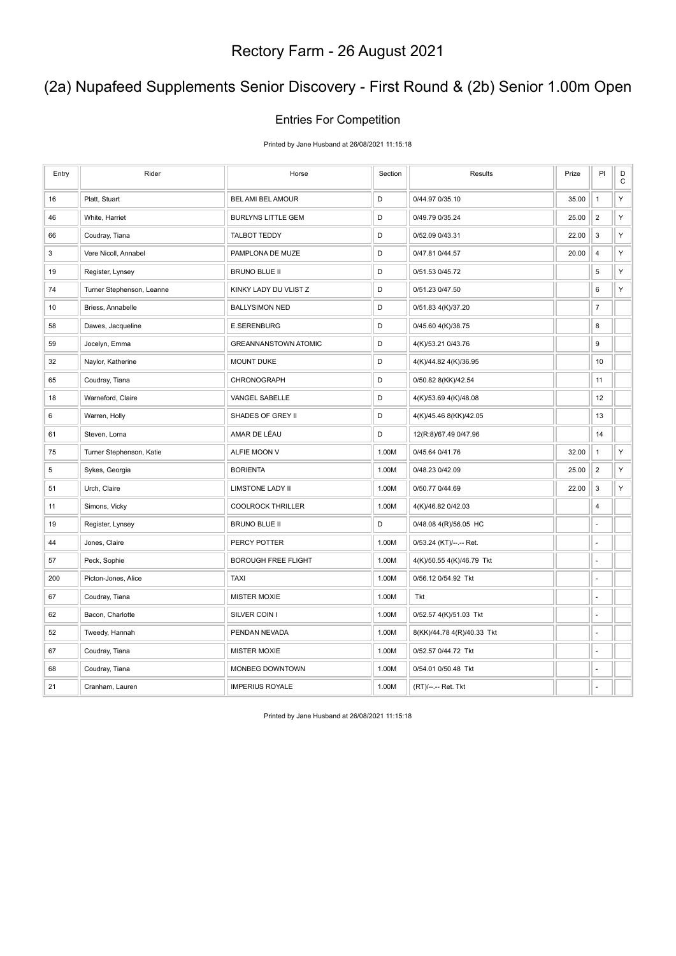### (2a) Nupafeed Supplements Senior Discovery - First Round & (2b) Senior 1.00m Open

#### Entries For Competition

Printed by Jane Husband at 26/08/2021 11:15:18

| Entry | Rider                     | Horse                       | Section | Results                    | Prize | PI             | D<br>$\mathsf C$ |
|-------|---------------------------|-----------------------------|---------|----------------------------|-------|----------------|------------------|
| 16    | Platt, Stuart             | BEL AMI BEL AMOUR           | D       | 0/44.97 0/35.10            | 35.00 | $\mathbf{1}$   | Υ                |
| 46    | White, Harriet            | <b>BURLYNS LITTLE GEM</b>   | D       | 0/49.79 0/35.24            | 25.00 | $\overline{2}$ | Υ                |
| 66    | Coudray, Tiana            | <b>TALBOT TEDDY</b>         | D       | 0/52.09 0/43.31            | 22.00 | 3              | Υ                |
| 3     | Vere Nicoll, Annabel      | PAMPLONA DE MUZE            | D       | 0/47.81 0/44.57            | 20.00 | 4              | Υ                |
| 19    | Register, Lynsey          | <b>BRUNO BLUE II</b>        | D       | 0/51.53 0/45.72            |       | 5              | Υ                |
| 74    | Turner Stephenson, Leanne | KINKY LADY DU VLIST Z       | D       | 0/51.23 0/47.50            |       | 6              | Υ                |
| 10    | Briess, Annabelle         | <b>BALLYSIMON NED</b>       | D       | 0/51.83 4(K)/37.20         |       | $\overline{7}$ |                  |
| 58    | Dawes, Jacqueline         | <b>E.SERENBURG</b>          | D       | 0/45.60 4(K)/38.75         |       | 8              |                  |
| 59    | Jocelyn, Emma             | <b>GREANNANSTOWN ATOMIC</b> | D       | 4(K)/53.21 0/43.76         |       | 9              |                  |
| 32    | Naylor, Katherine         | <b>MOUNT DUKE</b>           | D       | 4(K)/44.82 4(K)/36.95      |       | 10             |                  |
| 65    | Coudray, Tiana            | CHRONOGRAPH                 | D       | 0/50.82 8(KK)/42.54        |       | 11             |                  |
| 18    | Warneford, Claire         | VANGEL SABELLE              | D       | 4(K)/53.69 4(K)/48.08      |       | 12             |                  |
| 6     | Warren, Holly             | SHADES OF GREY II           | D       | 4(K)/45.46 8(KK)/42.05     |       | 13             |                  |
| 61    | Steven, Lorna             | AMAR DE LÉAU                | D       | 12(R:8)/67.49 0/47.96      |       | 14             |                  |
| 75    | Turner Stephenson, Katie  | ALFIE MOON V                | 1.00M   | 0/45.64 0/41.76            | 32.00 | $\mathbf{1}$   | Υ                |
| 5     | Sykes, Georgia            | <b>BORIENTA</b>             | 1.00M   | 0/48.23 0/42.09            | 25.00 | $\sqrt{2}$     | Υ                |
| 51    | Urch, Claire              | <b>LIMSTONE LADY II</b>     | 1.00M   | 0/50.77 0/44.69            | 22.00 | 3              | Υ                |
| 11    | Simons, Vicky             | <b>COOLROCK THRILLER</b>    | 1.00M   | 4(K)/46.82 0/42.03         |       | 4              |                  |
| 19    | Register, Lynsey          | <b>BRUNO BLUE II</b>        | D       | 0/48.08 4(R)/56.05 HC      |       | ä,             |                  |
| 44    | Jones, Claire             | PERCY POTTER                | 1.00M   | 0/53.24 (KT)/--.-- Ret.    |       | ä,             |                  |
| 57    | Peck, Sophie              | <b>BOROUGH FREE FLIGHT</b>  | 1.00M   | 4(K)/50.55 4(K)/46.79 Tkt  |       | ÷,             |                  |
| 200   | Picton-Jones, Alice       | <b>TAXI</b>                 | 1.00M   | 0/56.12 0/54.92 Tkt        |       | ÷,             |                  |
| 67    | Coudray, Tiana            | <b>MISTER MOXIE</b>         | 1.00M   | Tkt                        |       | ä,             |                  |
| 62    | Bacon, Charlotte          | SILVER COIN I               | 1.00M   | 0/52.57 4(K)/51.03 Tkt     |       | ä,             |                  |
| 52    | Tweedy, Hannah            | PENDAN NEVADA               | 1.00M   | 8(KK)/44.78 4(R)/40.33 Tkt |       | ä,             |                  |
| 67    | Coudray, Tiana            | <b>MISTER MOXIE</b>         | 1.00M   | 0/52.57 0/44.72 Tkt        |       | ÷.             |                  |
| 68    | Coudray, Tiana            | MONBEG DOWNTOWN             | 1.00M   | 0/54.01 0/50.48 Tkt        |       | ä,             |                  |
| 21    | Cranham, Lauren           | <b>IMPERIUS ROYALE</b>      | 1.00M   | (RT)/--.-- Ret. Tkt        |       |                |                  |

Printed by Jane Husband at 26/08/2021 11:15:18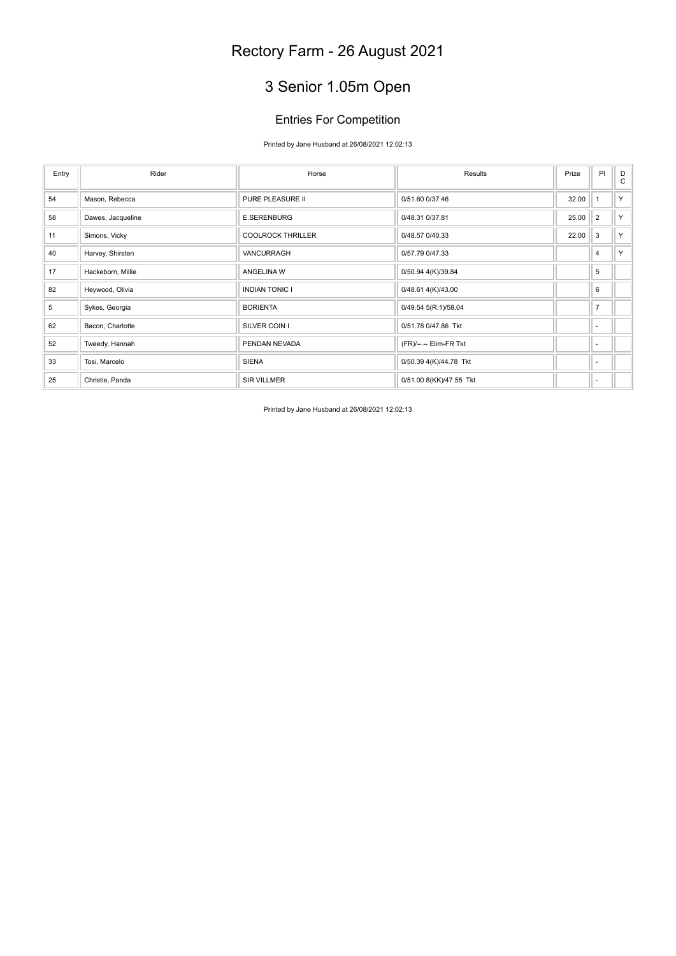# 3 Senior 1.05m Open

### Entries For Competition

#### Printed by Jane Husband at 26/08/2021 12:02:13

| Entry | Rider             | Horse                    | Results                 | Prize | P                        | D<br>$\mathsf{C}$ |
|-------|-------------------|--------------------------|-------------------------|-------|--------------------------|-------------------|
| 54    | Mason, Rebecca    | PURE PLEASURE II         | 0/51.60 0/37.46         | 32.00 |                          | Y                 |
| 58    | Dawes, Jacqueline | <b>E.SERENBURG</b>       | 0/48.31 0/37.81         | 25.00 | $\overline{2}$           | Y                 |
| 11    | Simons, Vicky     | <b>COOLROCK THRILLER</b> | 0/48.57 0/40.33         | 22.00 | 3                        | Y                 |
| 40    | Harvey, Shirsten  | VANCURRAGH               | 0/57.79 0/47.33         |       | $\overline{4}$           | Y.                |
| 17    | Hackeborn, Millie | ANGELINA W               | 0/50.94 4(K)/39.84      |       | 5                        |                   |
| 82    | Heywood, Olivia   | <b>INDIAN TONIC I</b>    | 0/48.61 4(K)/43.00      |       | 6                        |                   |
| 5     | Sykes, Georgia    | <b>BORIENTA</b>          | 0/49.54 5(R:1)/58.04    |       | $\overline{7}$           |                   |
| 62    | Bacon, Charlotte  | SILVER COIN I            | 0/51.78 0/47.86 Tkt     |       | ٠                        |                   |
| 52    | Tweedy, Hannah    | PENDAN NEVADA            | (FR)/--.-- Elim-FR Tkt  |       | $\overline{\phantom{a}}$ |                   |
| 33    | Tosi, Marcelo     | <b>SIENA</b>             | 0/50.39 4(K)/44.78 Tkt  |       | $\sim$                   |                   |
| 25    | Christie, Panda   | <b>SIR VILLMER</b>       | 0/51.00 8(KK)/47.55 Tkt |       | $\blacksquare$           |                   |

Printed by Jane Husband at 26/08/2021 12:02:13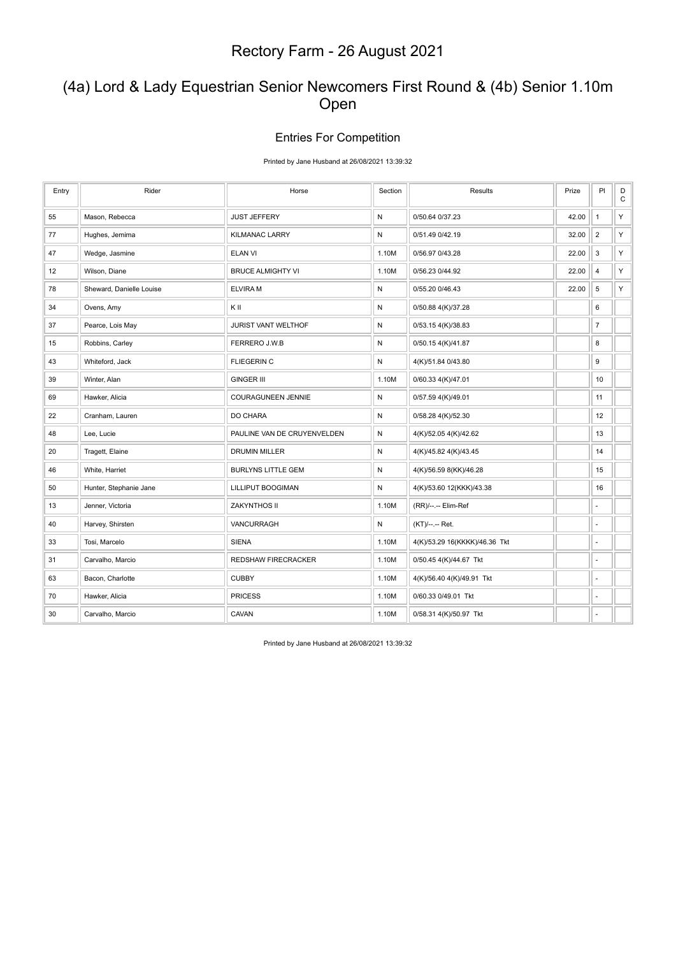### (4a) Lord & Lady Equestrian Senior Newcomers First Round & (4b) Senior 1.10m Open

#### Entries For Competition

Printed by Jane Husband at 26/08/2021 13:39:32

| Entry | Rider                    | Horse                       | Section   | Results                       | Prize | PI                       | $_{\rm C}^{\rm D}$ |
|-------|--------------------------|-----------------------------|-----------|-------------------------------|-------|--------------------------|--------------------|
| 55    | Mason, Rebecca           | <b>JUST JEFFERY</b>         | N         | 0/50.64 0/37.23               | 42.00 | $\mathbf{1}$             | Υ                  |
| 77    | Hughes, Jemima           | <b>KILMANAC LARRY</b>       | N         | 0/51.49 0/42.19               | 32.00 | $\overline{2}$           | Υ                  |
| 47    | Wedge, Jasmine           | ELAN VI                     | 1.10M     | 0/56.97 0/43.28               | 22.00 | 3                        | Υ                  |
| 12    | Wilson, Diane            | <b>BRUCE ALMIGHTY VI</b>    | 1.10M     | 0/56.23 0/44.92               | 22.00 | $\overline{4}$           | Y                  |
| 78    | Sheward, Danielle Louise | <b>ELVIRA M</b>             | N         | 0/55.20 0/46.43               | 22.00 | 5                        | Y                  |
| 34    | Ovens, Amy               | ΚIΙ                         | N         | 0/50.88 4(K)/37.28            |       | 6                        |                    |
| 37    | Pearce, Lois May         | JURIST VANT WELTHOF         | ${\sf N}$ | 0/53.15 4(K)/38.83            |       | $\boldsymbol{7}$         |                    |
| 15    | Robbins, Carley          | FERRERO J.W.B               | ${\sf N}$ | 0/50.15 4(K)/41.87            |       | 8                        |                    |
| 43    | Whiteford, Jack          | <b>FLIEGERIN C</b>          | N         | 4(K)/51.84 0/43.80            |       | 9                        |                    |
| 39    | Winter, Alan             | <b>GINGER III</b>           | 1.10M     | 0/60.33 4(K)/47.01            |       | 10                       |                    |
| 69    | Hawker, Alicia           | <b>COURAGUNEEN JENNIE</b>   | ${\sf N}$ | 0/57.59 4(K)/49.01            |       | 11                       |                    |
| 22    | Cranham, Lauren          | DO CHARA                    | ${\sf N}$ | 0/58.28 4(K)/52.30            |       | 12                       |                    |
| 48    | Lee, Lucie               | PAULINE VAN DE CRUYENVELDEN | ${\sf N}$ | 4(K)/52.05 4(K)/42.62         |       | 13                       |                    |
| 20    | Tragett, Elaine          | <b>DRUMIN MILLER</b>        | ${\sf N}$ | 4(K)/45.82 4(K)/43.45         |       | 14                       |                    |
| 46    | White, Harriet           | <b>BURLYNS LITTLE GEM</b>   | ${\sf N}$ | 4(K)/56.59 8(KK)/46.28        |       | 15                       |                    |
| 50    | Hunter, Stephanie Jane   | LILLIPUT BOOGIMAN           | ${\sf N}$ | 4(K)/53.60 12(KKK)/43.38      |       | 16                       |                    |
| 13    | Jenner, Victoria         | ZAKYNTHOS II                | 1.10M     | (RR)/--.-- Elim-Ref           |       | ä,                       |                    |
| 40    | Harvey, Shirsten         | VANCURRAGH                  | ${\sf N}$ | (KT)/--.-- Ret.               |       | $\overline{\phantom{a}}$ |                    |
| 33    | Tosi, Marcelo            | <b>SIENA</b>                | 1.10M     | 4(K)/53.29 16(KKKK)/46.36 Tkt |       | ÷,                       |                    |
| 31    | Carvalho, Marcio         | <b>REDSHAW FIRECRACKER</b>  | 1.10M     | 0/50.45 4(K)/44.67 Tkt        |       | ٠                        |                    |
| 63    | Bacon, Charlotte         | <b>CUBBY</b>                | 1.10M     | 4(K)/56.40 4(K)/49.91 Tkt     |       | ÷,                       |                    |
| 70    | Hawker, Alicia           | <b>PRICESS</b>              | 1.10M     | 0/60.33 0/49.01 Tkt           |       | ä,                       |                    |
| 30    | Carvalho, Marcio         | CAVAN                       | 1.10M     | 0/58.31 4(K)/50.97 Tkt        |       | ä,                       |                    |

Printed by Jane Husband at 26/08/2021 13:39:32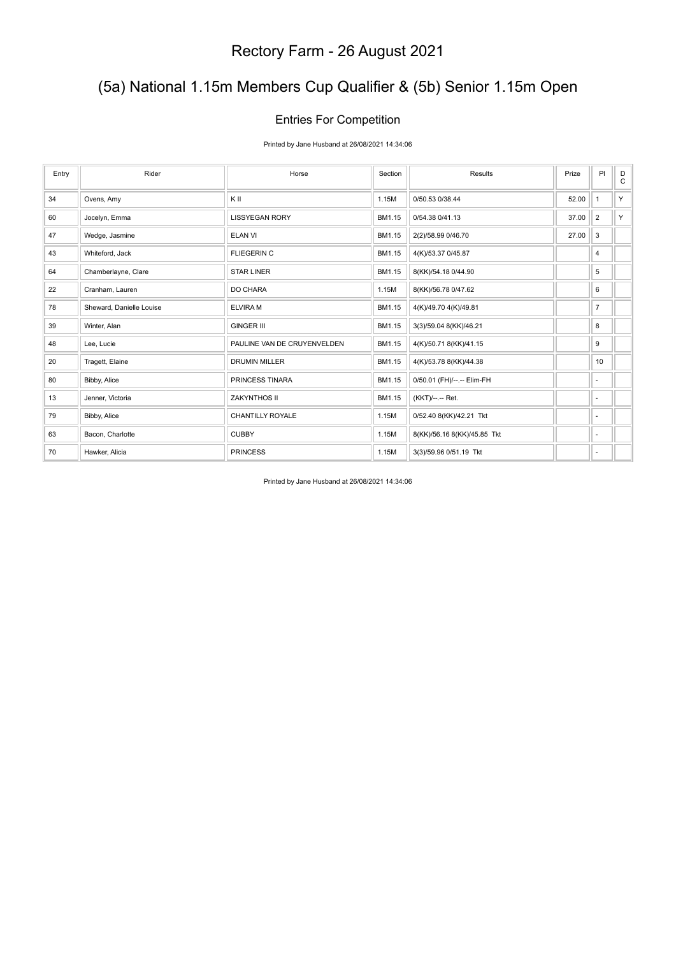### (5a) National 1.15m Members Cup Qualifier & (5b) Senior 1.15m Open

#### Entries For Competition

Printed by Jane Husband at 26/08/2021 14:34:06

| Entry | Rider                    | Horse                       | Section | Results                     | Prize | PI             | D<br>C |
|-------|--------------------------|-----------------------------|---------|-----------------------------|-------|----------------|--------|
| 34    | Ovens, Amy               | KII                         | 1.15M   | 0/50.53 0/38.44             | 52.00 | 1              | Y      |
| 60    | Jocelyn, Emma            | <b>LISSYEGAN RORY</b>       | BM1.15  | 0/54.38 0/41.13             | 37.00 | 2              | Y      |
| 47    | Wedge, Jasmine           | <b>ELAN VI</b>              | BM1.15  | 2(2)/58.99 0/46.70          | 27.00 | 3              |        |
| 43    | Whiteford, Jack          | <b>FLIEGERIN C</b>          | BM1.15  | 4(K)/53.37 0/45.87          |       | 4              |        |
| 64    | Chamberlayne, Clare      | <b>STAR LINER</b>           | BM1.15  | 8(KK)/54.18 0/44.90         |       | 5              |        |
| 22    | Cranham, Lauren          | DO CHARA                    | 1.15M   | 8(KK)/56.78 0/47.62         |       | 6              |        |
| 78    | Sheward, Danielle Louise | <b>ELVIRAM</b>              | BM1.15  | 4(K)/49.70 4(K)/49.81       |       | $\overline{7}$ |        |
| 39    | Winter, Alan             | <b>GINGER III</b>           | BM1.15  | 3(3)/59.04 8(KK)/46.21      |       | 8              |        |
| 48    | Lee, Lucie               | PAULINE VAN DE CRUYENVELDEN | BM1.15  | 4(K)/50.71 8(KK)/41.15      |       | 9              |        |
| 20    | Tragett, Elaine          | <b>DRUMIN MILLER</b>        | BM1.15  | 4(K)/53.78 8(KK)/44.38      |       | 10             |        |
| 80    | Bibby, Alice             | PRINCESS TINARA             | BM1.15  | 0/50.01 (FH)/--.-- Elim-FH  |       | ٠              |        |
| 13    | Jenner, Victoria         | ZAKYNTHOS II                | BM1.15  | (KKT)/--.-- Ret.            |       | ٠              |        |
| 79    | Bibby, Alice             | <b>CHANTILLY ROYALE</b>     | 1.15M   | 0/52.40 8(KK)/42.21 Tkt     |       | $\sim$         |        |
| 63    | Bacon, Charlotte         | <b>CUBBY</b>                | 1.15M   | 8(KK)/56.16 8(KK)/45.85 Tkt |       | ٠              |        |
| 70    | Hawker, Alicia           | <b>PRINCESS</b>             | 1.15M   | 3(3)/59.96 0/51.19 Tkt      |       | $\sim$         |        |

Printed by Jane Husband at 26/08/2021 14:34:06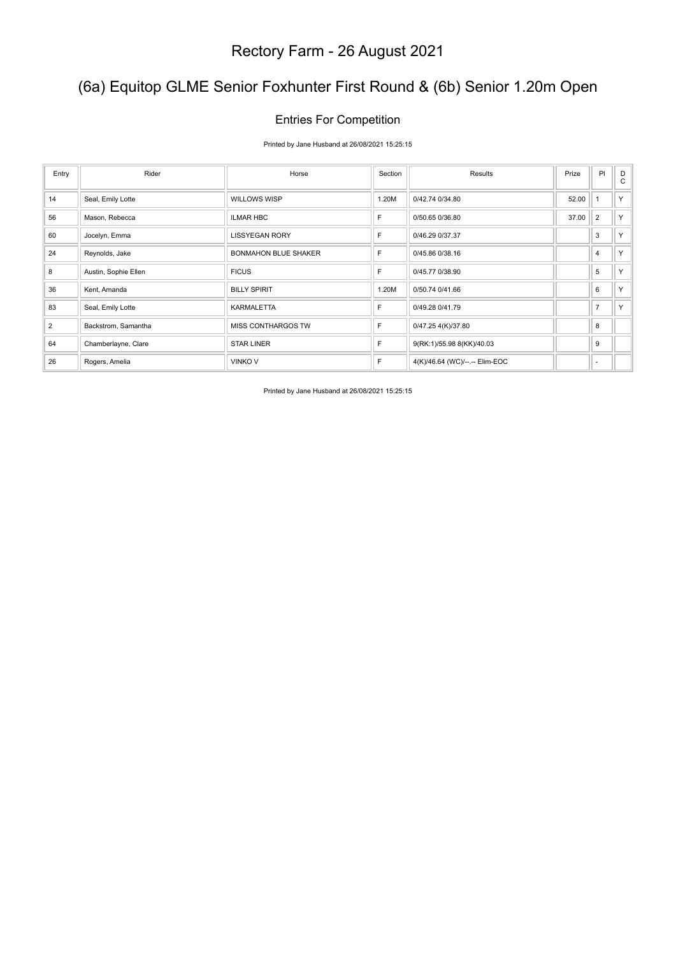### (6a) Equitop GLME Senior Foxhunter First Round & (6b) Senior 1.20m Open

#### Entries For Competition

Printed by Jane Husband at 26/08/2021 15:25:15

| Entry | Rider                | Horse                       | Section | Results                        | Prize | PI             | D<br>C |
|-------|----------------------|-----------------------------|---------|--------------------------------|-------|----------------|--------|
| 14    | Seal, Emily Lotte    | <b>WILLOWS WISP</b>         | 1.20M   | 0/42.74 0/34.80                | 52.00 | $\overline{1}$ | Y.     |
| 56    | Mason, Rebecca       | <b>ILMAR HBC</b>            | F       | 0/50.65 0/36.80                | 37.00 | $\overline{2}$ | Y.     |
| 60    | Jocelyn, Emma        | <b>LISSYEGAN RORY</b>       | F       | 0/46.29 0/37.37                |       | 3              | Y      |
| 24    | Reynolds, Jake       | <b>BONMAHON BLUE SHAKER</b> | F       | 0/45.86 0/38.16                |       | 4              | Y      |
| 8     | Austin, Sophie Ellen | <b>FICUS</b>                | F       | 0/45.77 0/38.90                |       | 5              | Y      |
| 36    | Kent, Amanda         | <b>BILLY SPIRIT</b>         | 1.20M   | 0/50.74 0/41.66                |       | 6              | Y      |
| 83    | Seal, Emily Lotte    | <b>KARMALETTA</b>           | F       | 0/49.28 0/41.79                |       | $\overline{7}$ | Y.     |
| 2     | Backstrom, Samantha  | MISS CONTHARGOS TW          | F       | 0/47.25 4(K)/37.80             |       | 8              |        |
| 64    | Chamberlayne, Clare  | <b>STAR LINER</b>           | F       | 9(RK:1)/55.98 8(KK)/40.03      |       | 9              |        |
| 26    | Rogers, Amelia       | <b>VINKO V</b>              | F       | 4(K)/46.64 (WC)/--.-- Elim-EOC |       | ٠              |        |

Printed by Jane Husband at 26/08/2021 15:25:15